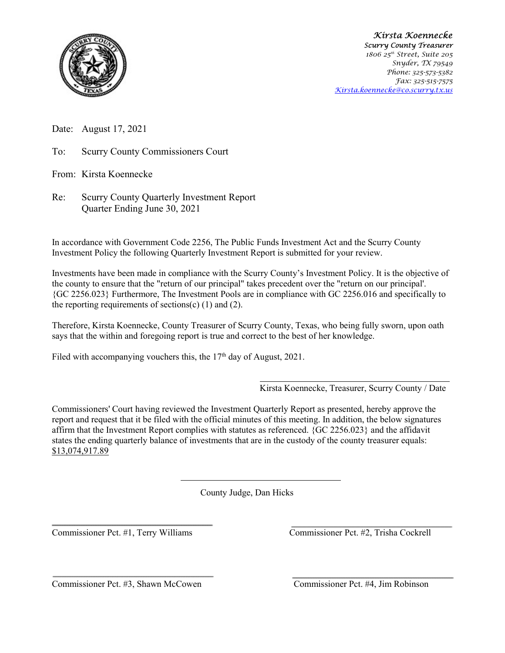

Kirsta Koennecke Scurry County Treasurer 1806 25<sup>th</sup> Street, Suite 205 Snyder, TX 79549 Phone: 325-573-5382 Fax: 325-515-7575 Kirsta.koennecke@co.scurry.tx.us

Date: August 17, 2021

To: Scurry County Commissioners Court

From: Kirsta Koennecke

Re: Scurry County Quarterly Investment Report Quarter Ending June 30, 2021

In accordance with Government Code 2256, The Public Funds Investment Act and the Scurry County Investment Policy the following Quarterly Investment Report is submitted for your review.

Investments have been made in compliance with the Scurry County's Investment Policy. It is the objective of the county to ensure that the "return of our principal" takes precedent over the "return on our principal'. {GC 2256.023} Furthermore, The Investment Pools are in compliance with GC 2256.016 and specifically to the reporting requirements of sections(c)  $(1)$  and  $(2)$ .

Therefore, Kirsta Koennecke, County Treasurer of Scurry County, Texas, who being fully sworn, upon oath says that the within and foregoing report is true and correct to the best of her knowledge.

Filed with accompanying vouchers this, the  $17<sup>th</sup>$  day of August, 2021.

Kirsta Koennecke, Treasurer, Scurry County / Date

Commissioners' Court having reviewed the Investment Quarterly Report as presented, hereby approve the report and request that it be filed with the official minutes of this meeting. In addition, the below signatures affirm that the Investment Report complies with statutes as referenced. {GC 2256.023} and the affidavit states the ending quarterly balance of investments that are in the custody of the county treasurer equals: \$13,074,917.89

County Judge, Dan Hicks

Commissioner Pct. #1, Terry Williams Commissioner Pct. #2, Trisha Cockrell

Commissioner Pct. #3, Shawn McCowen Commissioner Pct. #4, Jim Robinson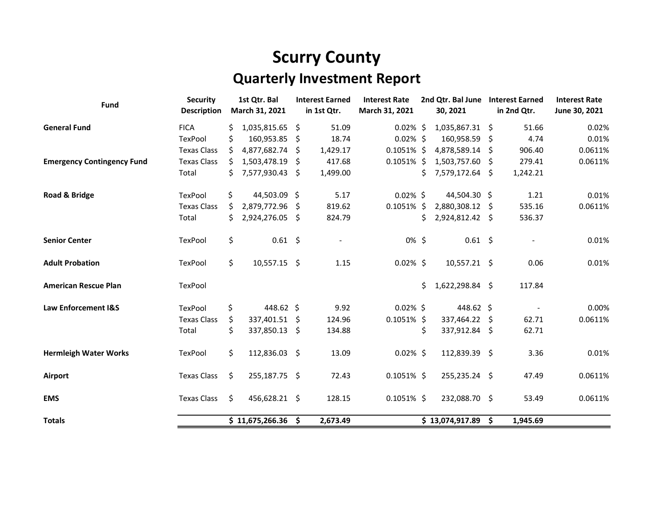## Scurry County

## Quarterly Investment Report

| Fund                              | <b>Security</b>    |     | 1st Qtr. Bal        |    | <b>Interest Earned</b> | <b>Interest Rate</b> | 2nd Qtr. Bal June |                     |    | <b>Interest Earned</b>   | <b>Interest Rate</b> |
|-----------------------------------|--------------------|-----|---------------------|----|------------------------|----------------------|-------------------|---------------------|----|--------------------------|----------------------|
|                                   | <b>Description</b> |     | March 31, 2021      |    | in 1st Qtr.            | March 31, 2021       |                   | 30, 2021            |    | in 2nd Qtr.              | June 30, 2021        |
| <b>General Fund</b>               | <b>FICA</b>        |     | 1,035,815.65 \$     |    | 51.09                  | $0.02\%$ \$          |                   | 1,035,867.31 \$     |    | 51.66                    | 0.02%                |
|                                   | TexPool            | \$  | 160,953.85 \$       |    | 18.74                  | $0.02\%$ \$          |                   | 160,958.59 \$       |    | 4.74                     | 0.01%                |
|                                   | <b>Texas Class</b> |     | 4,877,682.74        | -S | 1,429.17               | $0.1051\%$ \$        |                   | 4,878,589.14 \$     |    | 906.40                   | 0.0611%              |
| <b>Emergency Contingency Fund</b> | <b>Texas Class</b> | Ŝ.  | 1,503,478.19 \$     |    | 417.68                 | $0.1051\%$ \$        |                   | 1,503,757.60 \$     |    | 279.41                   | 0.0611%              |
|                                   | Total              | Ś.  | 7,577,930.43 \$     |    | 1,499.00               |                      | \$.               | 7,579,172.64 \$     |    | 1,242.21                 |                      |
| Road & Bridge                     | TexPool            | \$. | 44,503.09 \$        |    | 5.17                   | $0.02\%$ \$          |                   | 44,504.30 \$        |    | 1.21                     | 0.01%                |
|                                   | <b>Texas Class</b> | Ŝ.  | 2,879,772.96 \$     |    | 819.62                 | $0.1051\%$ \$        |                   | 2,880,308.12 \$     |    | 535.16                   | 0.0611%              |
|                                   | Total              | \$. | 2,924,276.05 \$     |    | 824.79                 |                      | \$                | 2,924,812.42 \$     |    | 536.37                   |                      |
| <b>Senior Center</b>              | TexPool            | \$  | $0.61$ \$           |    |                        | $0\%$ \$             |                   | $0.61$ \$           |    |                          | 0.01%                |
| <b>Adult Probation</b>            | <b>TexPool</b>     | \$  | $10,557.15$ \$      |    | 1.15                   | $0.02\%$ \$          |                   | 10,557.21 \$        |    | 0.06                     | 0.01%                |
| <b>American Rescue Plan</b>       | TexPool            |     |                     |    |                        |                      | \$                | 1,622,298.84 \$     |    | 117.84                   |                      |
| Law Enforcement I&S               | TexPool            | \$  | 448.62 \$           |    | 9.92                   | $0.02\%$ \$          |                   | 448.62 \$           |    | $\overline{\phantom{a}}$ | 0.00%                |
|                                   | <b>Texas Class</b> | Ś.  | 337,401.51 \$       |    | 124.96                 | $0.1051\%$ \$        |                   | 337,464.22          | S. | 62.71                    | 0.0611%              |
|                                   | Total              | \$  | 337,850.13 \$       |    | 134.88                 |                      | \$                | 337,912.84 \$       |    | 62.71                    |                      |
| <b>Hermleigh Water Works</b>      | TexPool            | \$  | 112,836.03 \$       |    | 13.09                  | $0.02\%$ \$          |                   | 112,839.39 \$       |    | 3.36                     | 0.01%                |
| Airport                           | <b>Texas Class</b> | \$  | 255,187.75 \$       |    | 72.43                  | $0.1051\%$ \$        |                   | 255,235.24 \$       |    | 47.49                    | 0.0611%              |
| <b>EMS</b>                        | <b>Texas Class</b> | \$  | 456,628.21 \$       |    | 128.15                 | $0.1051\%$ \$        |                   | 232,088.70 \$       |    | 53.49                    | 0.0611%              |
| <b>Totals</b>                     |                    |     | $$11,675,266.36$ \$ |    | 2,673.49               |                      |                   | $$13,074,917.89$ \$ |    | 1,945.69                 |                      |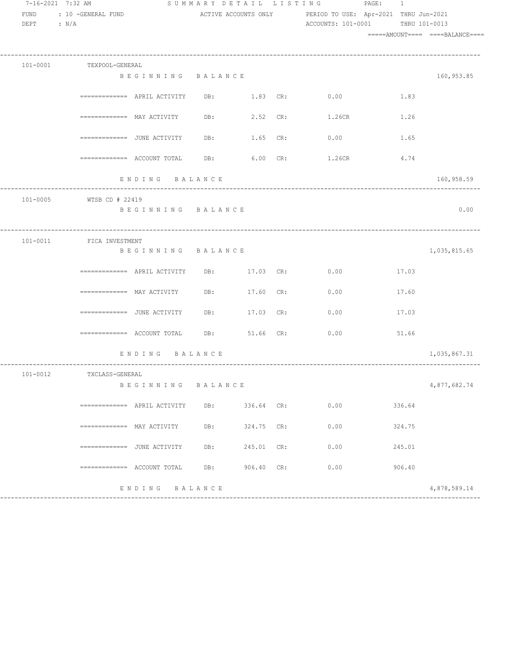| 7-16-2021 7:32 AM        |                           |                                                                   |              |            |     | SUMMARY DETAIL LISTING PAGE: 1                             |       |               |                                 |
|--------------------------|---------------------------|-------------------------------------------------------------------|--------------|------------|-----|------------------------------------------------------------|-------|---------------|---------------------------------|
| FUND                     | : 10 -GENERAL FUND        |                                                                   |              |            |     | ACTIVE ACCOUNTS ONLY PERIOD TO USE: Apr-2021 THRU Jun-2021 |       |               |                                 |
| DEPT<br>$\therefore$ N/A |                           |                                                                   |              |            |     | ACCOUNTS: 101-0001                                         |       | THRU 101-0013 |                                 |
|                          |                           |                                                                   |              |            |     |                                                            |       |               | =====AMOUNT==== ====BALANCE==== |
|                          | 101-0001 TEXPOOL-GENERAL  |                                                                   |              |            |     |                                                            |       |               |                                 |
|                          |                           | BEGINNING BALANCE                                                 |              |            |     |                                                            |       |               | 160,953.85                      |
|                          |                           |                                                                   | DB: 1.83 CR: |            |     | 0.00                                                       |       | 1.83          |                                 |
|                          |                           | ============= MAY ACTIVITY DB: 2.52 CR:                           |              |            |     | 1.26CR                                                     |       | 1.26          |                                 |
|                          |                           | ============= JUNE ACTIVITY DB: 1.65 CR:                          |              |            |     | 0.00                                                       |       | 1.65          |                                 |
|                          |                           | $\overline{\phantom{1}}$ ============= ACCOUNT TOTAL DB: 6.00 CR: |              |            |     | 1.26CR                                                     |       | 4.74          |                                 |
|                          |                           | ENDING BALANCE                                                    |              |            |     |                                                            |       |               | 160,958.59                      |
|                          | 101-0005 WTSB CD # 22419  |                                                                   |              |            |     |                                                            |       |               |                                 |
|                          |                           | BEGINNING BALANCE                                                 |              |            |     |                                                            |       |               | 0.00                            |
|                          | 101-0011 FICA INVESTMENT  |                                                                   |              |            |     |                                                            |       |               |                                 |
|                          |                           | BEGINNING BALANCE                                                 |              |            |     |                                                            |       |               | 1,035,815.65                    |
|                          |                           | ============ APRIL ACTIVITY DB: 17.03 CR: 0.00                    |              |            |     |                                                            | 17.03 |               |                                 |
|                          |                           | $\texttt{-----} \texttt{-----}$ MAY ACTIVITY DB: 17.60 CR:        |              |            |     | 0.00                                                       | 17.60 |               |                                 |
|                          |                           | $\overline{\phantom{z}}$ ============== JUNE ACTIVITY DB:         |              | 17.03 CR:  |     | 0.00                                                       | 17.03 |               |                                 |
|                          |                           | $\texttt{-----}$ ============= ACCOUNT TOTAL DB: 51.66 CR:        |              |            |     | 0.00                                                       |       | 51.66         |                                 |
|                          |                           | ENDING BALANCE                                                    |              |            |     |                                                            |       |               | 1,035,867.31                    |
| $101 - 0012$             | TXCLASS-GENERAL           |                                                                   |              |            |     |                                                            |       |               |                                 |
|                          |                           | BEGINNING BALANCE                                                 |              |            |     |                                                            |       |               | 4,877,682.74                    |
|                          |                           | $=$ ============ APRIL ACTIVITY                                   | DB:          | 336.64 CR: |     | 0.00                                                       |       | 336.64        |                                 |
|                          | $==========$ MAY ACTIVITY |                                                                   | DB:          | 324.75     | CR: | 0.00                                                       |       | 324.75        |                                 |
|                          |                           | ============= JUNE ACTIVITY                                       | DB:          | 245.01     | CR: | 0.00                                                       |       | 245.01        |                                 |
|                          |                           | $=$ ============ ACCOUNT TOTAL                                    | DB:          | 906.40     | CR: | 0.00                                                       |       | 906.40        |                                 |
|                          |                           | ENDING                                                            | BALANCE      |            |     |                                                            |       |               | 4,878,589.14                    |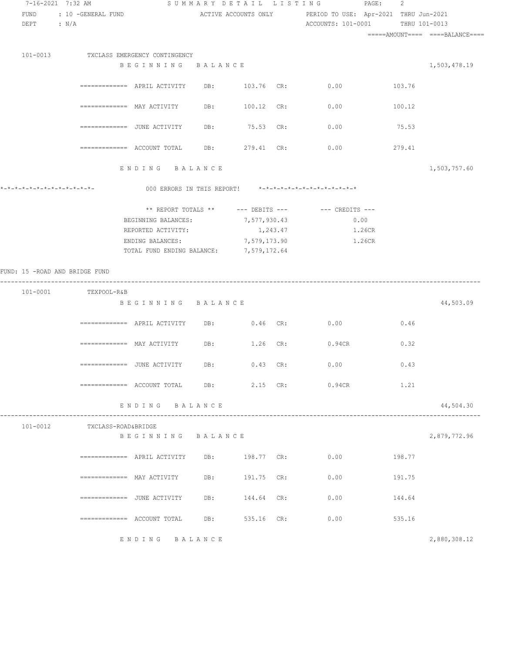| 7-16-2021 7:32 AM              |                                                           |                                         |     | SUMMARY DETAIL LISTING | $\texttt{PAGE}$ :                                          | 2      |              |  |
|--------------------------------|-----------------------------------------------------------|-----------------------------------------|-----|------------------------|------------------------------------------------------------|--------|--------------|--|
| FUND                           | : 10 -GENERAL FUND                                        |                                         |     |                        | ACTIVE ACCOUNTS ONLY PERIOD TO USE: Apr-2021 THRU Jun-2021 |        |              |  |
| DEPT : N/A                     |                                                           |                                         |     |                        | ACCOUNTS: 101-0001 THRU 101-0013                           |        |              |  |
|                                |                                                           |                                         |     |                        |                                                            |        |              |  |
|                                |                                                           |                                         |     |                        |                                                            |        |              |  |
|                                | 101-0013 TXCLASS EMERGENCY CONTINGENCY                    |                                         |     |                        |                                                            |        |              |  |
|                                |                                                           | BEGINNING BALANCE                       |     |                        |                                                            |        | 1,503,478.19 |  |
|                                |                                                           |                                         |     |                        |                                                            |        |              |  |
|                                | ============ APRIL ACTIVITY DB: 103.76 CR: 0.00           |                                         |     |                        | 103.76                                                     |        |              |  |
|                                | ============= MAY ACTIVITY                                |                                         |     | DB: 100.12 CR:         | 0.00                                                       | 100.12 |              |  |
|                                |                                                           |                                         |     |                        |                                                            |        |              |  |
|                                | =============  JUNE ACTIVITY                              |                                         | DB: | 75.53 CR:              | 0.00                                                       | 75.53  |              |  |
|                                |                                                           |                                         |     |                        |                                                            |        |              |  |
|                                | $\overline{\phantom{z}}$ ============== ACCOUNT TOTAL DB: |                                         |     | 279.41 CR:             | 0.00                                                       | 279.41 |              |  |
|                                |                                                           |                                         |     |                        |                                                            |        |              |  |
|                                |                                                           | ENDING BALANCE                          |     |                        |                                                            |        | 1,503,757.60 |  |
|                                |                                                           |                                         |     |                        | 000 ERRORS IN THIS REPORT! *-*-*-*-*-*-*-*-*-*-*-*-*-*-    |        |              |  |
|                                |                                                           |                                         |     |                        |                                                            |        |              |  |
|                                |                                                           |                                         |     |                        | ** REPORT TOTALS ** --- DEBITS --- -- CREDITS ---          |        |              |  |
|                                |                                                           | BEGINNING BALANCES: 7,577,930.43        |     |                        | 0.00                                                       |        |              |  |
|                                |                                                           | REPORTED ACTIVITY:                      |     | 1,243.47               | 1.26CR                                                     |        |              |  |
|                                |                                                           | ENDING BALANCES:                        |     | 7,579,173.90           | 1.26CR                                                     |        |              |  |
|                                |                                                           | TOTAL FUND ENDING BALANCE: 7,579,172.64 |     |                        |                                                            |        |              |  |
|                                |                                                           |                                         |     |                        |                                                            |        |              |  |
| FUND: 15 -ROAD AND BRIDGE FUND |                                                           |                                         |     |                        |                                                            |        |              |  |
|                                | 101-0001 TEXPOOL-R&B                                      |                                         |     |                        |                                                            |        |              |  |
|                                |                                                           | BEGINNING BALANCE                       |     |                        |                                                            |        | 44,503.09    |  |
|                                |                                                           |                                         |     |                        |                                                            |        |              |  |
|                                |                                                           |                                         |     |                        | DB: 0.46 CR: 0.00                                          | 0.46   |              |  |
|                                |                                                           |                                         |     |                        |                                                            |        |              |  |
|                                | ============= MAY ACTIVITY                                |                                         |     | DB: 1.26 CR:           | $0.94$ CR                                                  | 0.32   |              |  |
|                                |                                                           |                                         |     |                        |                                                            |        |              |  |
|                                |                                                           |                                         |     |                        | 0.00                                                       | 0.43   |              |  |
|                                |                                                           |                                         |     |                        | ============= ACCOUNT TOTAL DB: 2.15 CR: 0.94CR            | 1.21   |              |  |
|                                |                                                           |                                         |     |                        |                                                            |        |              |  |
|                                |                                                           | ENDING BALANCE                          |     |                        |                                                            |        | 44,504.30    |  |
|                                |                                                           |                                         |     |                        |                                                            |        |              |  |
| 101-0012                       | TXCLASS-ROAD&BRIDGE                                       |                                         |     |                        |                                                            |        |              |  |
|                                |                                                           | BEGINNING BALANCE                       |     |                        |                                                            |        | 2,879,772.96 |  |
|                                |                                                           |                                         |     | DB: 198.77 CR:         | 0.00                                                       |        |              |  |
|                                | ============= APRIL ACTIVITY                              |                                         |     |                        |                                                            | 198.77 |              |  |
|                                | ============= MAY ACTIVITY                                |                                         | DB: | 191.75 CR:             | 0.00                                                       | 191.75 |              |  |
|                                |                                                           |                                         |     |                        |                                                            |        |              |  |
|                                | ============= JUNE ACTIVITY                               |                                         | DB: | 144.64 CR:             | 0.00                                                       | 144.64 |              |  |
|                                |                                                           |                                         |     |                        |                                                            |        |              |  |
|                                | ============= ACCOUNT TOTAL                               |                                         | DB: | 535.16 CR:             | 0.00                                                       | 535.16 |              |  |
|                                |                                                           |                                         |     |                        |                                                            |        |              |  |
|                                |                                                           | ENDING BALANCE                          |     |                        |                                                            |        | 2,880,308.12 |  |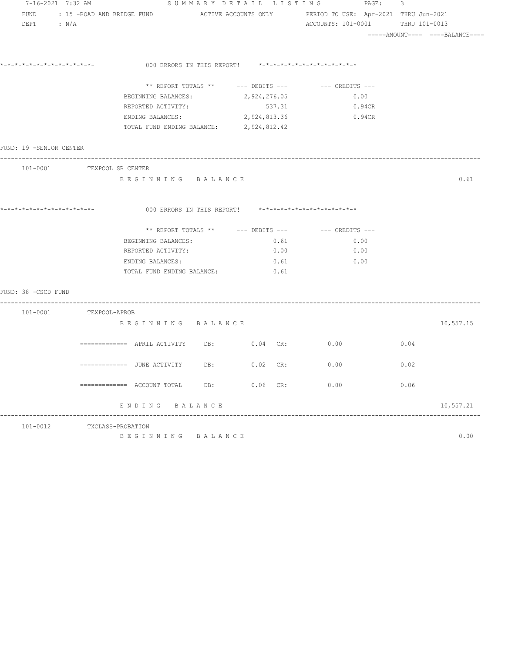|                         | 7-16-2021 7:32 AM          | SUMMARY DETAIL LISTING PAGE: 3                                                             |     |            |                                                         |      |                                  |  |  |
|-------------------------|----------------------------|--------------------------------------------------------------------------------------------|-----|------------|---------------------------------------------------------|------|----------------------------------|--|--|
|                         |                            | FUND : 15 -ROAD AND BRIDGE FUND ACTIVE ACCOUNTS ONLY PERIOD TO USE: Apr-2021 THRU Jun-2021 |     |            |                                                         |      |                                  |  |  |
| DEPT : N/A              |                            |                                                                                            |     |            | ACCOUNTS: 101-0001 THRU 101-0013                        |      |                                  |  |  |
|                         |                            |                                                                                            |     |            |                                                         |      | =====AMOUNT====  ====BALANCE==== |  |  |
|                         |                            |                                                                                            |     |            |                                                         |      |                                  |  |  |
|                         |                            |                                                                                            |     |            |                                                         |      |                                  |  |  |
|                         |                            |                                                                                            |     |            | 000 ERRORS IN THIS REPORT! *-*-*-*-*-*-*-*-*-*-*-*-*-*- |      |                                  |  |  |
|                         |                            |                                                                                            |     |            | ** REPORT TOTALS ** --- DEBITS --- -- CREDITS ---       |      |                                  |  |  |
|                         |                            | BEGINNING BALANCES: 2,924,276.05                                                           |     |            | 0.00                                                    |      |                                  |  |  |
|                         |                            | REPORTED ACTIVITY:                                                                         |     | 537.31     | 0.94CR                                                  |      |                                  |  |  |
|                         |                            | ENDING BALANCES: 2,924,813.36 0.94CR                                                       |     |            |                                                         |      |                                  |  |  |
|                         |                            | TOTAL FUND ENDING BALANCE: 2,924,812.42                                                    |     |            |                                                         |      |                                  |  |  |
| FUND: 19 -SENIOR CENTER |                            |                                                                                            |     |            |                                                         |      |                                  |  |  |
|                         |                            | -------------------------------------                                                      |     |            |                                                         |      |                                  |  |  |
|                         | 101-0001 TEXPOOL SR CENTER |                                                                                            |     |            |                                                         |      |                                  |  |  |
|                         |                            | BEGINNING BALANCE                                                                          |     |            |                                                         |      | 0.61                             |  |  |
|                         |                            |                                                                                            |     |            |                                                         |      |                                  |  |  |
|                         |                            |                                                                                            |     |            |                                                         |      |                                  |  |  |
|                         |                            |                                                                                            |     |            |                                                         |      |                                  |  |  |
|                         |                            |                                                                                            |     |            | ** REPORT TOTALS ** $---$ DEBITS --- $---$ CREDITS ---  |      |                                  |  |  |
|                         |                            | BEGINNING BALANCES:                                                                        |     | 0.61       | 0.00                                                    |      |                                  |  |  |
|                         |                            | REPORTED ACTIVITY:                                                                         |     | 0.00       | 0.00                                                    |      |                                  |  |  |
|                         |                            | ENDING BALANCES:                                                                           |     | 0.61       | 0.00                                                    |      |                                  |  |  |
|                         |                            | TOTAL FUND ENDING BALANCE:                                                                 |     | 0.61       |                                                         |      |                                  |  |  |
|                         |                            |                                                                                            |     |            |                                                         |      |                                  |  |  |
| FUND: 38 - CSCD FUND    |                            |                                                                                            |     |            |                                                         |      |                                  |  |  |
|                         | 101-0001 TEXPOOL-APROB     |                                                                                            |     |            |                                                         |      |                                  |  |  |
|                         |                            | BEGINNING BALANCE                                                                          |     |            |                                                         |      | 10,557.15                        |  |  |
|                         |                            |                                                                                            |     |            |                                                         |      |                                  |  |  |
|                         |                            | $\overline{\phantom{X}}$ ============= APRIL ACTIVITY DB: $\phantom{X}0.04$ CR:            |     |            | 0.00                                                    | 0.04 |                                  |  |  |
|                         |                            | ============= JUNE ACTIVITY                                                                | DB: | $0.02$ CR: | 0.00                                                    | 0.02 |                                  |  |  |
|                         |                            |                                                                                            |     |            |                                                         |      |                                  |  |  |
|                         |                            | ============= ACCOUNT TOTAL DB: 0.06 CR:                                                   |     |            | 0.00                                                    | 0.06 |                                  |  |  |
|                         |                            |                                                                                            |     |            |                                                         |      |                                  |  |  |
|                         |                            | ENDING BALANCE                                                                             |     |            |                                                         |      | 10,557.21                        |  |  |
| 101-0012                |                            | TXCLASS-PROBATION                                                                          |     |            |                                                         |      |                                  |  |  |
|                         |                            | BEGINNING BALANCE                                                                          |     |            |                                                         |      | 0.00                             |  |  |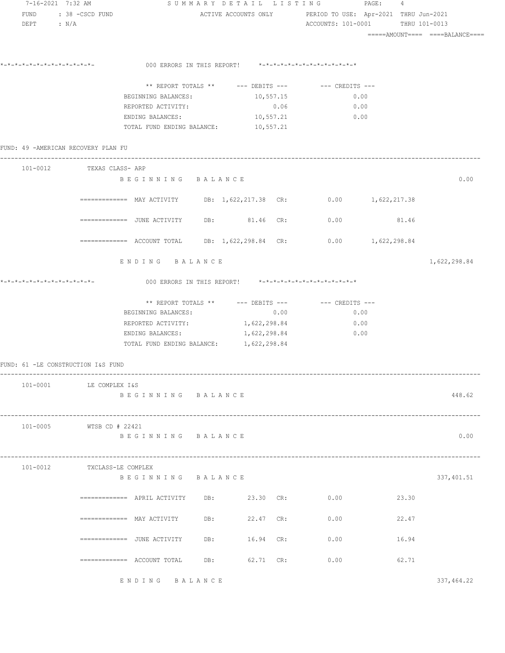| 7-16-2021 7:32 AM                   |                                                                                                         |     |           |      | SUMMARY DETAIL LISTING PAGE:                                   | 4                                                          |              |
|-------------------------------------|---------------------------------------------------------------------------------------------------------|-----|-----------|------|----------------------------------------------------------------|------------------------------------------------------------|--------------|
| FUND : 38 - CSCD FUND               |                                                                                                         |     |           |      |                                                                | ACTIVE ACCOUNTS ONLY PERIOD TO USE: Apr-2021 THRU Jun-2021 |              |
| DEPT : $N/A$                        |                                                                                                         |     |           |      |                                                                | ACCOUNTS: 101-0001 THRU 101-0013                           |              |
|                                     |                                                                                                         |     |           |      |                                                                | =====AMOUNT====  ====BALANCE====                           |              |
|                                     |                                                                                                         |     |           |      |                                                                |                                                            |              |
| *_*_*_*_*_*_*_*_*_*_*_*_*_*_*_      |                                                                                                         |     |           |      | 000 ERRORS IN THIS REPORT! *-*-*-*-*-*-*-*-*-*-*-*-*-*-        |                                                            |              |
|                                     |                                                                                                         |     |           |      |                                                                |                                                            |              |
|                                     |                                                                                                         |     |           |      | ** REPORT TOTALS ** $---$ DEBITS --- $---$ CREDITS ---<br>0.00 |                                                            |              |
|                                     | BEGINNING BALANCES: 10,557.15<br>REPORTED ACTIVITY:                                                     |     |           | 0.06 | 0.00                                                           |                                                            |              |
|                                     | ENDING BALANCES: 10,557.21                                                                              |     |           |      | $\sim 0.00$                                                    |                                                            |              |
|                                     | TOTAL FUND ENDING BALANCE: 10,557.21                                                                    |     |           |      |                                                                |                                                            |              |
|                                     |                                                                                                         |     |           |      |                                                                |                                                            |              |
| FUND: 49 -AMERICAN RECOVERY PLAN FU |                                                                                                         |     |           |      |                                                                |                                                            |              |
| 101-0012 TEXAS CLASS- ARP           |                                                                                                         |     |           |      |                                                                |                                                            |              |
|                                     | BEGINNING BALANCE                                                                                       |     |           |      |                                                                |                                                            | 0.00         |
|                                     |                                                                                                         |     |           |      |                                                                |                                                            |              |
|                                     | $=$ $=$ $=$ $=$ $=$ $=$ $=$ $MAY$ $ACTIVITY$ DB: 1,622,217.38 CR: 0.00 1,622,217.38                     |     |           |      |                                                                |                                                            |              |
|                                     |                                                                                                         |     |           |      |                                                                |                                                            |              |
|                                     | =============    JUNE  ACTIVITY            DB:                   81.46     CR:                     0.00 |     |           |      |                                                                | 81.46                                                      |              |
|                                     |                                                                                                         |     |           |      |                                                                |                                                            |              |
|                                     | ============= ACCOUNT TOTAL DB: 1,622,298.84 CR:                                                        |     |           |      |                                                                | $0.00$ 1,622,298.84                                        |              |
|                                     | ENDING BALANCE                                                                                          |     |           |      |                                                                |                                                            | 1,622,298.84 |
|                                     |                                                                                                         |     |           |      |                                                                |                                                            |              |
|                                     |                                                                                                         |     |           |      | 000 ERRORS IN THIS REPORT! *-*-*-*-*-*-*-*-*-*-*-*-*-*-        |                                                            |              |
|                                     |                                                                                                         |     |           |      |                                                                |                                                            |              |
|                                     |                                                                                                         |     |           |      | ** REPORT TOTALS ** --- DEBITS --- -- -- CREDITS ---           |                                                            |              |
|                                     | BEGINNING BALANCES:                                                                                     |     | 0.00      |      | 0.00                                                           |                                                            |              |
|                                     | REPORTED ACTIVITY: 1, 622, 298.84                                                                       |     |           |      | 0.00                                                           |                                                            |              |
|                                     | ENDING BALANCES: 1,622,298.84                                                                           |     |           |      | 0.00                                                           |                                                            |              |
|                                     | TOTAL FUND ENDING BALANCE: 1, 622, 298.84                                                               |     |           |      |                                                                |                                                            |              |
| FUND: 61 -LE CONSTRUCTION I&S FUND  |                                                                                                         |     |           |      |                                                                |                                                            |              |
|                                     |                                                                                                         |     |           |      |                                                                |                                                            |              |
| 101-0001 LE COMPLEX I&S             |                                                                                                         |     |           |      |                                                                |                                                            |              |
|                                     | BEGINNING BALANCE                                                                                       |     |           |      |                                                                |                                                            | 448.62       |
|                                     |                                                                                                         |     |           |      |                                                                |                                                            |              |
| 101-0005 WTSB CD # 22421            |                                                                                                         |     |           |      |                                                                |                                                            |              |
|                                     | BEGINNING BALANCE                                                                                       |     |           |      |                                                                |                                                            | 0.00         |
|                                     |                                                                                                         |     |           |      |                                                                |                                                            |              |
|                                     |                                                                                                         |     |           |      |                                                                |                                                            |              |
| 101-0012                            | TXCLASS-LE COMPLEX                                                                                      |     |           |      |                                                                |                                                            |              |
|                                     | BEGINNING BALANCE                                                                                       |     |           |      |                                                                |                                                            | 337,401.51   |
|                                     |                                                                                                         |     |           |      | 0.00                                                           | 23.30                                                      |              |
|                                     |                                                                                                         |     |           |      |                                                                |                                                            |              |
|                                     | $\texttt{-----} \texttt{-----}$ MAY ACTIVITY DB: 22.47 CR:                                              |     |           |      | 0.00                                                           | 22.47                                                      |              |
|                                     |                                                                                                         |     |           |      |                                                                |                                                            |              |
|                                     | =============   JUNE ACTIVITY                                                                           | DB: | 16.94 CR: |      | 0.00                                                           | 16.94                                                      |              |
|                                     |                                                                                                         |     |           |      |                                                                |                                                            |              |
|                                     | ============ ACCOUNT TOTAL DB: 62.71 CR:                                                                |     |           |      | 0.00                                                           | 62.71                                                      |              |
|                                     |                                                                                                         |     |           |      |                                                                |                                                            |              |
|                                     | ENDING BALANCE                                                                                          |     |           |      |                                                                |                                                            | 337,464.22   |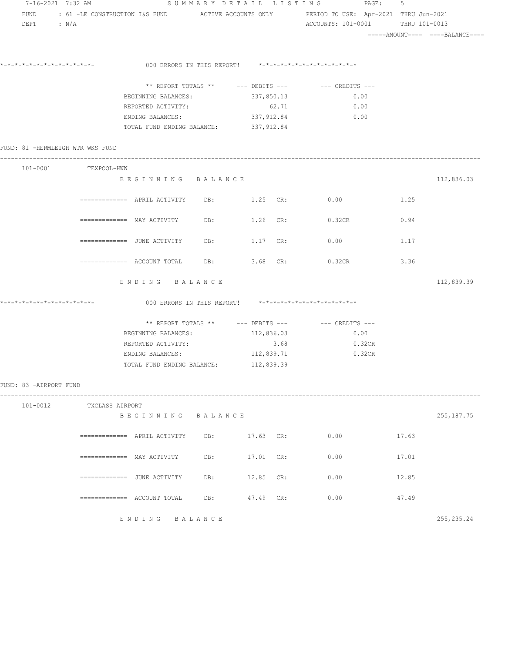| 7-16-2021 7:32 AM                | FUND : 61 -LE CONSTRUCTION I&S FUND ACTIVE ACCOUNTS ONLY PERIOD TO USE: Apr-2021 THRU Jun-2021                         |                                                                        |                                                         | SUMMARY DETAIL LISTING PAGE:                           | -5    |                                  |  |  |
|----------------------------------|------------------------------------------------------------------------------------------------------------------------|------------------------------------------------------------------------|---------------------------------------------------------|--------------------------------------------------------|-------|----------------------------------|--|--|
| $DEPT$ : $N/A$                   |                                                                                                                        |                                                                        |                                                         | ACCOUNTS: 101-0001 THRU 101-0013                       |       |                                  |  |  |
|                                  |                                                                                                                        |                                                                        |                                                         |                                                        |       | =====AMOUNT====  ====BALANCE==== |  |  |
| *_*_*_*_*_*_*_*_*_*_*_*_*_*_*_   |                                                                                                                        |                                                                        |                                                         |                                                        |       |                                  |  |  |
|                                  |                                                                                                                        |                                                                        | 000 ERRORS IN THIS REPORT! *-*-*-*-*-*-*-*-*-*-*-*-*-*- |                                                        |       |                                  |  |  |
|                                  |                                                                                                                        |                                                                        |                                                         |                                                        |       |                                  |  |  |
|                                  |                                                                                                                        |                                                                        | BEGINNING BALANCES: 337,850.13                          | 0.00                                                   |       |                                  |  |  |
|                                  |                                                                                                                        | REPORTED ACTIVITY:                                                     | 62.71                                                   | 0.00                                                   |       |                                  |  |  |
|                                  |                                                                                                                        | ENDING BALANCES: 337, 912.84<br>TOTAL FUND ENDING BALANCE: 337, 912.84 |                                                         | 0.00                                                   |       |                                  |  |  |
|                                  |                                                                                                                        |                                                                        |                                                         |                                                        |       |                                  |  |  |
| FUND: 81 -HERMLEIGH WTR WKS FUND |                                                                                                                        |                                                                        |                                                         |                                                        |       |                                  |  |  |
|                                  | 101-0001 TEXPOOL-HWW                                                                                                   |                                                                        |                                                         |                                                        |       |                                  |  |  |
|                                  |                                                                                                                        | BEGINNING BALANCE                                                      |                                                         |                                                        |       | 112,836.03                       |  |  |
|                                  | ============ APRIL ACTIVITY DB: 1.25 CR: 0.00                                                                          |                                                                        |                                                         |                                                        | 1.25  |                                  |  |  |
|                                  |                                                                                                                        |                                                                        |                                                         | DB: 1.26 CR: 0.32CR                                    | 0.94  |                                  |  |  |
|                                  | =============   JUNE  ACTIVITY                                                                                         |                                                                        | DB: 1.17 CR:                                            | 0.00                                                   | 1.17  |                                  |  |  |
|                                  | ============= ACCOUNT TOTAL DB: 3.68 CR:                                                                               |                                                                        |                                                         | 0.32CR                                                 | 3.36  |                                  |  |  |
|                                  | ENDING BALANCE                                                                                                         |                                                                        |                                                         |                                                        |       | 112,839.39                       |  |  |
|                                  |                                                                                                                        |                                                                        | 000 ERRORS IN THIS REPORT! *-*-*-*-*-*-*-*-*-*-*-*-*-*- |                                                        |       |                                  |  |  |
|                                  |                                                                                                                        |                                                                        |                                                         | ** REPORT TOTALS ** $---$ DEBITS --- $---$ CREDITS --- |       |                                  |  |  |
|                                  |                                                                                                                        | BEGINNING BALANCES: 112,836.03                                         |                                                         | 0.00                                                   |       |                                  |  |  |
|                                  |                                                                                                                        | REPORTED ACTIVITY:                                                     | 3.68                                                    | 0.32CR                                                 |       |                                  |  |  |
|                                  |                                                                                                                        | ENDING BALANCES: 112,839.71                                            |                                                         | 0.32CR                                                 |       |                                  |  |  |
|                                  |                                                                                                                        | TOTAL FUND ENDING BALANCE: 112,839.39                                  |                                                         |                                                        |       |                                  |  |  |
| FUND: 83 -AIRPORT FUND           |                                                                                                                        |                                                                        |                                                         |                                                        |       |                                  |  |  |
|                                  | 101-0012 TXCLASS AIRPORT                                                                                               |                                                                        |                                                         |                                                        |       |                                  |  |  |
|                                  |                                                                                                                        | BEGINNING BALANCE                                                      |                                                         |                                                        |       | 255, 187. 75                     |  |  |
|                                  | $=$ =========== APRIL ACTIVITY DB:                                                                                     |                                                                        | 17.63 CR:                                               | 0.00                                                   | 17.63 |                                  |  |  |
|                                  | $\Rightarrow \Rightarrow \Rightarrow \Rightarrow \Rightarrow \Rightarrow \Rightarrow \Rightarrow \text{ MAY ACTIVITY}$ |                                                                        | 17.01 CR:                                               | 0.00                                                   | 17.01 |                                  |  |  |
|                                  | =============   JUNE  ACTIVITY                                                                                         | DB:                                                                    | 12.85 CR:                                               | 0.00                                                   | 12.85 |                                  |  |  |
|                                  |                                                                                                                        | DB:                                                                    | 47.49 CR:                                               | 0.00                                                   | 47.49 |                                  |  |  |
|                                  | ENDING BALANCE                                                                                                         |                                                                        |                                                         |                                                        |       | 255, 235.24                      |  |  |